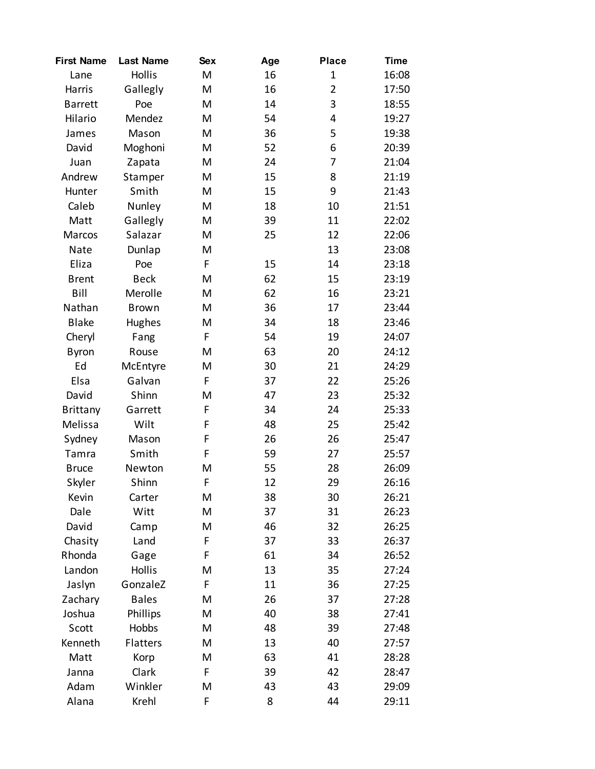| <b>First Name</b> | <b>Last Name</b> | <b>Sex</b> | Age | <b>Place</b>   | <b>Time</b> |
|-------------------|------------------|------------|-----|----------------|-------------|
| Lane              | <b>Hollis</b>    | M          | 16  | $\mathbf{1}$   | 16:08       |
| Harris            | Gallegly         | M          | 16  | $\overline{2}$ | 17:50       |
| <b>Barrett</b>    | Poe              | M          | 14  | 3              | 18:55       |
| Hilario           | Mendez           | M          | 54  | 4              | 19:27       |
| James             | Mason            | M          | 36  | 5              | 19:38       |
| David             | Moghoni          | M          | 52  | 6              | 20:39       |
| Juan              | Zapata           | M          | 24  | 7              | 21:04       |
| Andrew            | Stamper          | M          | 15  | 8              | 21:19       |
| Hunter            | Smith            | M          | 15  | 9              | 21:43       |
| Caleb             | Nunley           | M          | 18  | 10             | 21:51       |
| Matt              | Gallegly         | M          | 39  | 11             | 22:02       |
| Marcos            | Salazar          | M          | 25  | 12             | 22:06       |
| Nate              | Dunlap           | M          |     | 13             | 23:08       |
| Eliza             | Poe              | F          | 15  | 14             | 23:18       |
| <b>Brent</b>      | <b>Beck</b>      | M          | 62  | 15             | 23:19       |
| Bill              | Merolle          | M          | 62  | 16             | 23:21       |
| Nathan            | <b>Brown</b>     | M          | 36  | 17             | 23:44       |
| <b>Blake</b>      | Hughes           | M          | 34  | 18             | 23:46       |
| Cheryl            | Fang             | F          | 54  | 19             | 24:07       |
| <b>Byron</b>      | Rouse            | M          | 63  | 20             | 24:12       |
| Ed                | McEntyre         | M          | 30  | 21             | 24:29       |
| Elsa              | Galvan           | F          | 37  | 22             | 25:26       |
| David             | Shinn            | M          | 47  | 23             | 25:32       |
| <b>Brittany</b>   | Garrett          | F          | 34  | 24             | 25:33       |
| Melissa           | Wilt             | F          | 48  | 25             | 25:42       |
| Sydney            | Mason            | F          | 26  | 26             | 25:47       |
| Tamra             | Smith            | F          | 59  | 27             | 25:57       |
| <b>Bruce</b>      | Newton           | M          | 55  | 28             | 26:09       |
| Skyler            | Shinn            | F          | 12  | 29             | 26:16       |
| Kevin             | Carter           | M          | 38  | 30             | 26:21       |
| Dale              | Witt             | M          | 37  | 31             | 26:23       |
| David             | Camp             | M          | 46  | 32             | 26:25       |
| Chasity           | Land             | F          | 37  | 33             | 26:37       |
| Rhonda            | Gage             | F          | 61  | 34             | 26:52       |
| Landon            | <b>Hollis</b>    | M          | 13  | 35             | 27:24       |
| Jaslyn            | GonzaleZ         | F          | 11  | 36             | 27:25       |
| Zachary           | <b>Bales</b>     | M          | 26  | 37             | 27:28       |
| Joshua            | Phillips         | M          | 40  | 38             | 27:41       |
| Scott             | Hobbs            | M          | 48  | 39             | 27:48       |
| Kenneth           | Flatters         | M          | 13  | 40             | 27:57       |
| Matt              | Korp             | M          | 63  | 41             | 28:28       |
| Janna             | Clark            | F          | 39  | 42             | 28:47       |
| Adam              | Winkler          | M          | 43  | 43             | 29:09       |
| Alana             | Krehl            | F          | 8   | 44             | 29:11       |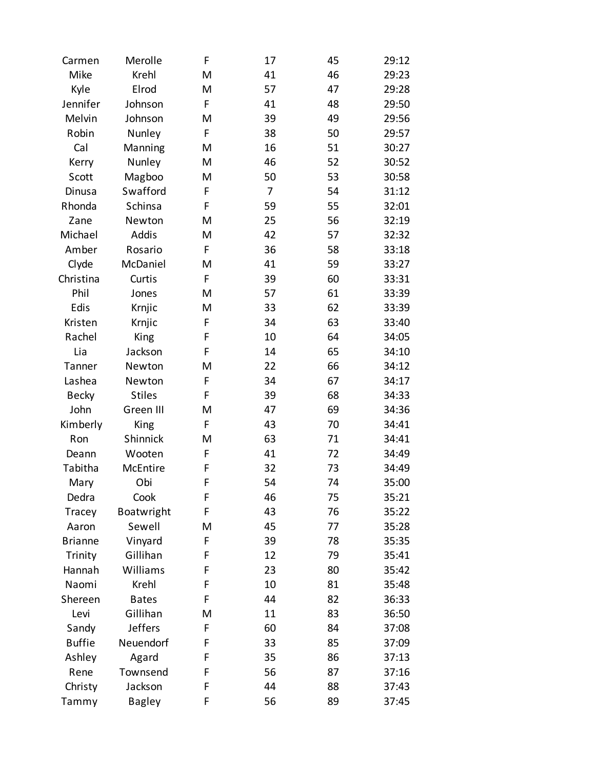| Carmen         | Merolle        | F | 17 | 45 | 29:12 |
|----------------|----------------|---|----|----|-------|
| Mike           | Krehl          | M | 41 | 46 | 29:23 |
| Kyle           | Elrod          | M | 57 | 47 | 29:28 |
| Jennifer       | Johnson        | F | 41 | 48 | 29:50 |
| Melvin         | Johnson        | M | 39 | 49 | 29:56 |
| Robin          | Nunley         | F | 38 | 50 | 29:57 |
| Cal            | Manning        | M | 16 | 51 | 30:27 |
| Kerry          | Nunley         | M | 46 | 52 | 30:52 |
| Scott          | Magboo         | M | 50 | 53 | 30:58 |
| Dinusa         | Swafford       | F | 7  | 54 | 31:12 |
| Rhonda         | Schinsa        | F | 59 | 55 | 32:01 |
| Zane           | Newton         | M | 25 | 56 | 32:19 |
| Michael        | Addis          | M | 42 | 57 | 32:32 |
| Amber          | Rosario        | F | 36 | 58 | 33:18 |
| Clyde          | McDaniel       | M | 41 | 59 | 33:27 |
| Christina      | Curtis         | F | 39 | 60 | 33:31 |
| Phil           | Jones          | M | 57 | 61 | 33:39 |
| Edis           | Krnjic         | M | 33 | 62 | 33:39 |
| Kristen        | Krnjic         | F | 34 | 63 | 33:40 |
| Rachel         | King           | F | 10 | 64 | 34:05 |
| Lia            | Jackson        | F | 14 | 65 | 34:10 |
| Tanner         | Newton         | M | 22 | 66 | 34:12 |
| Lashea         | Newton         | F | 34 | 67 | 34:17 |
| <b>Becky</b>   | <b>Stiles</b>  | F | 39 | 68 | 34:33 |
| John           | Green III      | M | 47 | 69 | 34:36 |
| Kimberly       | King           | F | 43 | 70 | 34:41 |
| Ron            | Shinnick       | M | 63 | 71 | 34:41 |
| Deann          | Wooten         | F | 41 | 72 | 34:49 |
| Tabitha        | McEntire       | F | 32 | 73 | 34:49 |
| Mary           | Obi            | F | 54 | 74 | 35:00 |
| Dedra          | Cook           | F | 46 | 75 | 35:21 |
| Tracey         | Boatwright     | F | 43 | 76 | 35:22 |
| Aaron          | Sewell         | M | 45 | 77 | 35:28 |
| <b>Brianne</b> | Vinyard        | F | 39 | 78 | 35:35 |
| Trinity        | Gillihan       | F | 12 | 79 | 35:41 |
| Hannah         | Williams       | F | 23 | 80 | 35:42 |
| Naomi          | Krehl          | F | 10 | 81 | 35:48 |
| Shereen        | <b>Bates</b>   | F | 44 | 82 | 36:33 |
| Levi           | Gillihan       | M | 11 | 83 | 36:50 |
| Sandy          | <b>Jeffers</b> | F | 60 | 84 | 37:08 |
| <b>Buffie</b>  | Neuendorf      | F | 33 | 85 | 37:09 |
| Ashley         | Agard          | F | 35 | 86 | 37:13 |
| Rene           | Townsend       | F | 56 | 87 | 37:16 |
| Christy        | Jackson        | F | 44 | 88 | 37:43 |
| Tammy          | <b>Bagley</b>  | F | 56 | 89 | 37:45 |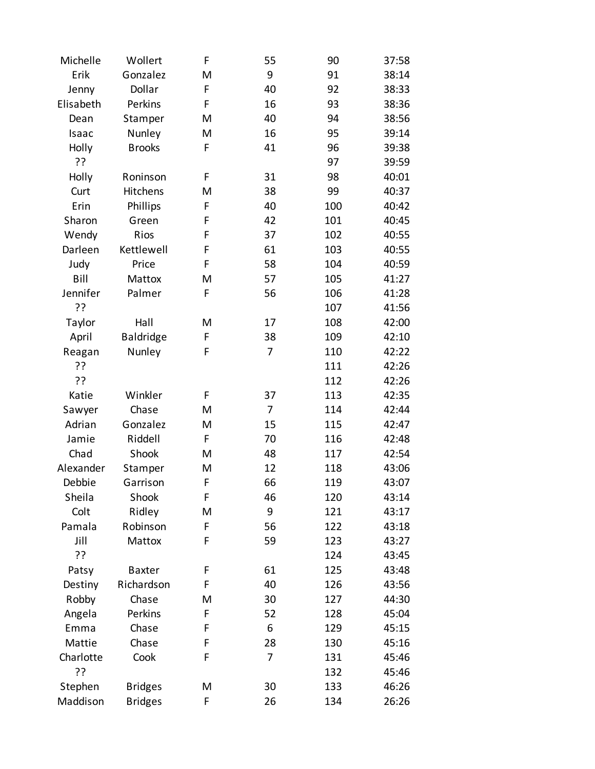| Michelle  | Wollert          | F | 55             | 90  | 37:58 |
|-----------|------------------|---|----------------|-----|-------|
| Erik      | Gonzalez         | M | 9              | 91  | 38:14 |
| Jenny     | Dollar           | F | 40             | 92  | 38:33 |
| Elisabeth | Perkins          | F | 16             | 93  | 38:36 |
| Dean      | Stamper          | M | 40             | 94  | 38:56 |
| Isaac     | Nunley           | M | 16             | 95  | 39:14 |
| Holly     | <b>Brooks</b>    | F | 41             | 96  | 39:38 |
| ??        |                  |   |                | 97  | 39:59 |
| Holly     | Roninson         | F | 31             | 98  | 40:01 |
| Curt      | Hitchens         | M | 38             | 99  | 40:37 |
| Erin      | Phillips         | F | 40             | 100 | 40:42 |
| Sharon    | Green            | F | 42             | 101 | 40:45 |
| Wendy     | Rios             | F | 37             | 102 | 40:55 |
| Darleen   | Kettlewell       | F | 61             | 103 | 40:55 |
| Judy      | Price            | F | 58             | 104 | 40:59 |
| Bill      | Mattox           | M | 57             | 105 | 41:27 |
| Jennifer  | Palmer           | F | 56             | 106 | 41:28 |
| ??        |                  |   |                | 107 | 41:56 |
| Taylor    | Hall             | M | 17             | 108 | 42:00 |
| April     | <b>Baldridge</b> | F | 38             | 109 | 42:10 |
| Reagan    | Nunley           | F | 7              | 110 | 42:22 |
| ??        |                  |   |                | 111 | 42:26 |
| ??        |                  |   |                | 112 | 42:26 |
| Katie     | Winkler          | F | 37             | 113 | 42:35 |
| Sawyer    | Chase            | M | 7              | 114 | 42:44 |
| Adrian    | Gonzalez         | M | 15             | 115 | 42:47 |
| Jamie     | Riddell          | F | 70             | 116 | 42:48 |
| Chad      | Shook            | M | 48             | 117 | 42:54 |
| Alexander | Stamper          | M | 12             | 118 | 43:06 |
| Debbie    | Garrison         | F | 66             | 119 | 43:07 |
| Sheila    | Shook            | F | 46             | 120 | 43:14 |
| Colt      | Ridley           | M | 9              | 121 | 43:17 |
| Pamala    | Robinson         | F | 56             | 122 | 43:18 |
| Jill      | Mattox           | F | 59             | 123 | 43:27 |
| ??        |                  |   |                | 124 | 43:45 |
| Patsy     | <b>Baxter</b>    | F | 61             | 125 | 43:48 |
| Destiny   | Richardson       | F | 40             | 126 | 43:56 |
| Robby     | Chase            | M | 30             | 127 | 44:30 |
| Angela    | Perkins          | F | 52             | 128 | 45:04 |
| Emma      | Chase            | F | 6              | 129 | 45:15 |
| Mattie    | Chase            | F | 28             | 130 | 45:16 |
| Charlotte | Cook             | F | $\overline{7}$ | 131 | 45:46 |
| ??        |                  |   |                | 132 | 45:46 |
| Stephen   | <b>Bridges</b>   | M | 30             | 133 | 46:26 |
| Maddison  | <b>Bridges</b>   | F | 26             | 134 | 26:26 |